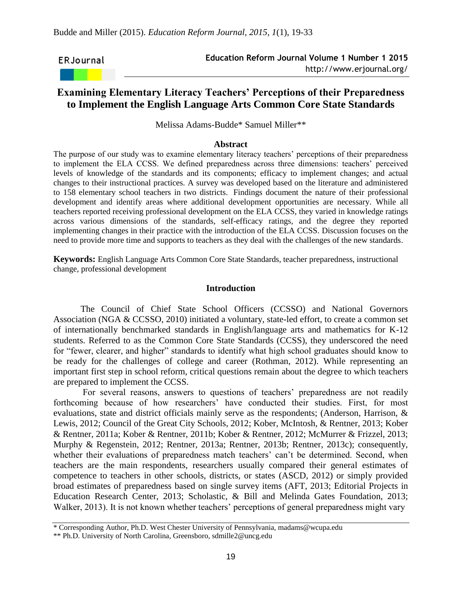ERJournal

# **Examining Elementary Literacy Teachers' Perceptions of their Preparedness to Implement the English Language Arts Common Core State Standards**

Melissa Adams-Budde\* Samuel Miller\*\*

#### **Abstract**

The purpose of our study was to examine elementary literacy teachers' perceptions of their preparedness to implement the ELA CCSS. We defined preparedness across three dimensions: teachers' perceived levels of knowledge of the standards and its components; efficacy to implement changes; and actual changes to their instructional practices. A survey was developed based on the literature and administered to 158 elementary school teachers in two districts. Findings document the nature of their professional development and identify areas where additional development opportunities are necessary. While all teachers reported receiving professional development on the ELA CCSS, they varied in knowledge ratings across various dimensions of the standards, self-efficacy ratings, and the degree they reported implementing changes in their practice with the introduction of the ELA CCSS. Discussion focuses on the need to provide more time and supports to teachers as they deal with the challenges of the new standards.

**Keywords:** English Language Arts Common Core State Standards, teacher preparedness, instructional change, professional development

### **Introduction**

The Council of Chief State School Officers (CCSSO) and National Governors Association (NGA & CCSSO, 2010) initiated a voluntary, state-led effort, to create a common set of internationally benchmarked standards in English/language arts and mathematics for K-12 students. Referred to as the Common Core State Standards (CCSS), they underscored the need for "fewer, clearer, and higher" standards to identify what high school graduates should know to be ready for the challenges of college and career (Rothman, 2012). While representing an important first step in school reform, critical questions remain about the degree to which teachers are prepared to implement the CCSS.

For several reasons, answers to questions of teachers' preparedness are not readily forthcoming because of how researchers' have conducted their studies. First, for most evaluations, state and district officials mainly serve as the respondents; (Anderson, Harrison, & Lewis, 2012; Council of the Great City Schools, 2012; Kober, McIntosh, & Rentner, 2013; Kober & Rentner, 2011a; Kober & Rentner, 2011b; Kober & Rentner, 2012; McMurrer & Frizzel, 2013; Murphy & Regenstein, 2012; Rentner, 2013a; Rentner, 2013b; Rentner, 2013c); consequently, whether their evaluations of preparedness match teachers' can't be determined. Second, when teachers are the main respondents, researchers usually compared their general estimates of competence to teachers in other schools, districts, or states (ASCD, 2012) or simply provided broad estimates of preparedness based on single survey items (AFT, 2013; Editorial Projects in Education Research Center, 2013; Scholastic, & Bill and Melinda Gates Foundation, 2013; Walker, 2013). It is not known whether teachers' perceptions of general preparedness might vary

<sup>\*</sup> Corresponding Author, Ph.D. West Chester University of Pennsylvania, madams@wcupa.edu

<sup>\*\*</sup> Ph.D. University of North Carolina, Greensboro, sdmille2@uncg.edu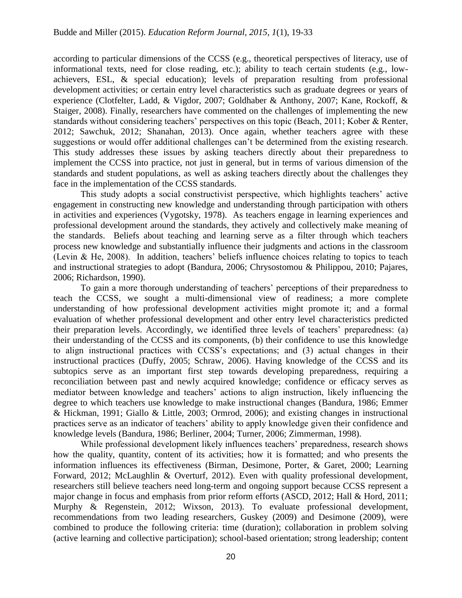according to particular dimensions of the CCSS (e.g., theoretical perspectives of literacy, use of informational texts, need for close reading, etc.); ability to teach certain students (e.g., lowachievers, ESL, & special education); levels of preparation resulting from professional development activities; or certain entry level characteristics such as graduate degrees or years of experience (Clotfelter, Ladd, & Vigdor, 2007; Goldhaber & Anthony, 2007; Kane, Rockoff, & Staiger, 2008). Finally, researchers have commented on the challenges of implementing the new standards without considering teachers' perspectives on this topic (Beach, 2011; Kober & Renter, 2012; Sawchuk, 2012; Shanahan, 2013). Once again, whether teachers agree with these suggestions or would offer additional challenges can't be determined from the existing research. This study addresses these issues by asking teachers directly about their preparedness to implement the CCSS into practice, not just in general, but in terms of various dimension of the standards and student populations, as well as asking teachers directly about the challenges they face in the implementation of the CCSS standards.

This study adopts a social constructivist perspective, which highlights teachers' active engagement in constructing new knowledge and understanding through participation with others in activities and experiences (Vygotsky, 1978). As teachers engage in learning experiences and professional development around the standards, they actively and collectively make meaning of the standards. Beliefs about teaching and learning serve as a filter through which teachers process new knowledge and substantially influence their judgments and actions in the classroom (Levin & He, 2008). In addition, teachers' beliefs influence choices relating to topics to teach and instructional strategies to adopt (Bandura, 2006; Chrysostomou & Philippou, 2010; Pajares, 2006; Richardson, 1990).

To gain a more thorough understanding of teachers' perceptions of their preparedness to teach the CCSS, we sought a multi-dimensional view of readiness; a more complete understanding of how professional development activities might promote it; and a formal evaluation of whether professional development and other entry level characteristics predicted their preparation levels. Accordingly, we identified three levels of teachers' preparedness: (a) their understanding of the CCSS and its components, (b) their confidence to use this knowledge to align instructional practices with CCSS's expectations; and (3) actual changes in their instructional practices (Duffy, 2005; Schraw, 2006). Having knowledge of the CCSS and its subtopics serve as an important first step towards developing preparedness, requiring a reconciliation between past and newly acquired knowledge; confidence or efficacy serves as mediator between knowledge and teachers' actions to align instruction, likely influencing the degree to which teachers use knowledge to make instructional changes (Bandura, 1986; Emmer & Hickman, 1991; Giallo & Little, 2003; Ormrod, 2006); and existing changes in instructional practices serve as an indicator of teachers' ability to apply knowledge given their confidence and knowledge levels (Bandura, 1986; Berliner, 2004; Turner, 2006; Zimmerman, 1998).

While professional development likely influences teachers' preparedness, research shows how the quality, quantity, content of its activities; how it is formatted; and who presents the information influences its effectiveness (Birman, Desimone, Porter, & Garet, 2000; Learning Forward, 2012; McLaughlin & Overturf, 2012). Even with quality professional development, researchers still believe teachers need long-term and ongoing support because CCSS represent a major change in focus and emphasis from prior reform efforts (ASCD, 2012; Hall & Hord, 2011; Murphy & Regenstein, 2012; Wixson, 2013). To evaluate professional development, recommendations from two leading researchers, Guskey (2009) and Desimone (2009), were combined to produce the following criteria: time (duration); collaboration in problem solving (active learning and collective participation); school-based orientation; strong leadership; content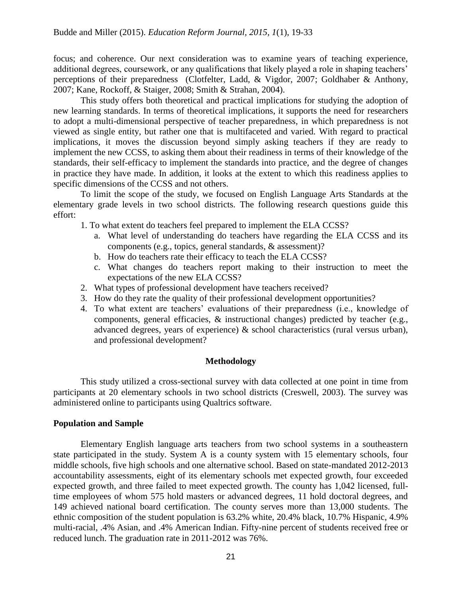focus; and coherence. Our next consideration was to examine years of teaching experience, additional degrees, coursework, or any qualifications that likely played a role in shaping teachers' perceptions of their preparedness (Clotfelter, Ladd, & Vigdor, 2007; Goldhaber & Anthony, 2007; Kane, Rockoff, & Staiger, 2008; Smith & Strahan, 2004).

This study offers both theoretical and practical implications for studying the adoption of new learning standards. In terms of theoretical implications, it supports the need for researchers to adopt a multi-dimensional perspective of teacher preparedness, in which preparedness is not viewed as single entity, but rather one that is multifaceted and varied. With regard to practical implications, it moves the discussion beyond simply asking teachers if they are ready to implement the new CCSS, to asking them about their readiness in terms of their knowledge of the standards, their self-efficacy to implement the standards into practice, and the degree of changes in practice they have made. In addition, it looks at the extent to which this readiness applies to specific dimensions of the CCSS and not others.

To limit the scope of the study, we focused on English Language Arts Standards at the elementary grade levels in two school districts. The following research questions guide this effort:

1. To what extent do teachers feel prepared to implement the ELA CCSS?

- a. What level of understanding do teachers have regarding the ELA CCSS and its components (e.g., topics, general standards, & assessment)?
- b. How do teachers rate their efficacy to teach the ELA CCSS?
- c. What changes do teachers report making to their instruction to meet the expectations of the new ELA CCSS?
- 2. What types of professional development have teachers received?
- 3. How do they rate the quality of their professional development opportunities?
- 4. To what extent are teachers' evaluations of their preparedness (i.e., knowledge of components, general efficacies, & instructional changes) predicted by teacher (e.g., advanced degrees, years of experience) & school characteristics (rural versus urban), and professional development?

# **Methodology**

This study utilized a cross-sectional survey with data collected at one point in time from participants at 20 elementary schools in two school districts (Creswell, 2003). The survey was administered online to participants using Qualtrics software.

# **Population and Sample**

Elementary English language arts teachers from two school systems in a southeastern state participated in the study. System A is a county system with 15 elementary schools, four middle schools, five high schools and one alternative school. Based on state-mandated 2012-2013 accountability assessments, eight of its elementary schools met expected growth, four exceeded expected growth, and three failed to meet expected growth. The county has 1,042 licensed, fulltime employees of whom 575 hold masters or advanced degrees, 11 hold doctoral degrees, and 149 achieved national board certification. The county serves more than 13,000 students. The ethnic composition of the student population is 63.2% white, 20.4% black, 10.7% Hispanic, 4.9% multi-racial, .4% Asian, and .4% American Indian. Fifty-nine percent of students received free or reduced lunch. The graduation rate in 2011-2012 was 76%.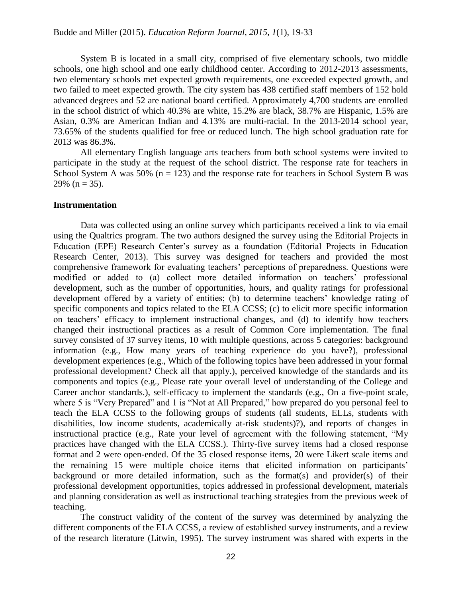System B is located in a small city, comprised of five elementary schools, two middle schools, one high school and one early childhood center. According to 2012-2013 assessments, two elementary schools met expected growth requirements, one exceeded expected growth, and two failed to meet expected growth. The city system has 438 certified staff members of 152 hold advanced degrees and 52 are national board certified. Approximately 4,700 students are enrolled in the school district of which 40.3% are white, 15.2% are black, 38.7% are Hispanic, 1.5% are Asian, 0.3% are American Indian and 4.13% are multi-racial. In the 2013-2014 school year, 73.65% of the students qualified for free or reduced lunch. The high school graduation rate for 2013 was 86.3%.

All elementary English language arts teachers from both school systems were invited to participate in the study at the request of the school district. The response rate for teachers in School System A was  $50\%$  (n = 123) and the response rate for teachers in School System B was 29% ( $n = 35$ ).

### **Instrumentation**

Data was collected using an online survey which participants received a link to via email using the Qualtrics program. The two authors designed the survey using the Editorial Projects in Education (EPE) Research Center's survey as a foundation (Editorial Projects in Education Research Center, 2013). This survey was designed for teachers and provided the most comprehensive framework for evaluating teachers' perceptions of preparedness. Questions were modified or added to (a) collect more detailed information on teachers' professional development, such as the number of opportunities, hours, and quality ratings for professional development offered by a variety of entities; (b) to determine teachers' knowledge rating of specific components and topics related to the ELA CCSS; (c) to elicit more specific information on teachers' efficacy to implement instructional changes, and (d) to identify how teachers changed their instructional practices as a result of Common Core implementation. The final survey consisted of 37 survey items, 10 with multiple questions, across 5 categories: background information (e.g., How many years of teaching experience do you have?), professional development experiences (e.g., Which of the following topics have been addressed in your formal professional development? Check all that apply.), perceived knowledge of the standards and its components and topics (e.g., Please rate your overall level of understanding of the College and Career anchor standards.), self-efficacy to implement the standards (e.g., On a five-point scale, where 5 is "Very Prepared" and 1 is "Not at All Prepared," how prepared do you personal feel to teach the ELA CCSS to the following groups of students (all students, ELLs, students with disabilities, low income students, academically at-risk students)?), and reports of changes in instructional practice (e.g., Rate your level of agreement with the following statement, "My practices have changed with the ELA CCSS.). Thirty-five survey items had a closed response format and 2 were open-ended. Of the 35 closed response items, 20 were Likert scale items and the remaining 15 were multiple choice items that elicited information on participants' background or more detailed information, such as the format(s) and provider(s) of their professional development opportunities, topics addressed in professional development, materials and planning consideration as well as instructional teaching strategies from the previous week of teaching.

The construct validity of the content of the survey was determined by analyzing the different components of the ELA CCSS, a review of established survey instruments, and a review of the research literature (Litwin, 1995). The survey instrument was shared with experts in the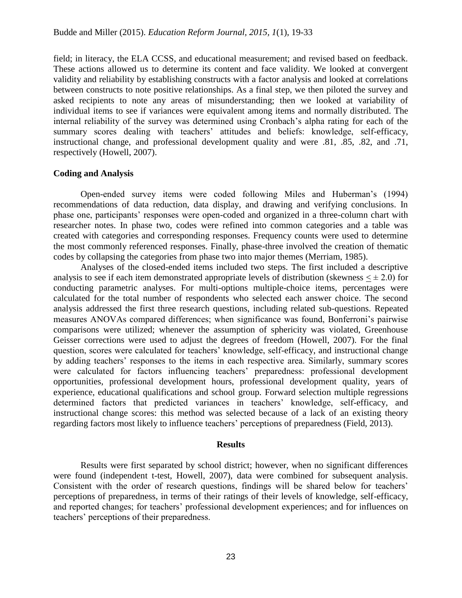field; in literacy, the ELA CCSS, and educational measurement; and revised based on feedback. These actions allowed us to determine its content and face validity. We looked at convergent validity and reliability by establishing constructs with a factor analysis and looked at correlations between constructs to note positive relationships. As a final step, we then piloted the survey and asked recipients to note any areas of misunderstanding; then we looked at variability of individual items to see if variances were equivalent among items and normally distributed. The internal reliability of the survey was determined using Cronbach's alpha rating for each of the summary scores dealing with teachers' attitudes and beliefs: knowledge, self-efficacy, instructional change, and professional development quality and were .81, .85, .82, and .71, respectively (Howell, 2007).

### **Coding and Analysis**

Open-ended survey items were coded following Miles and Huberman's (1994) recommendations of data reduction, data display, and drawing and verifying conclusions. In phase one, participants' responses were open-coded and organized in a three-column chart with researcher notes. In phase two, codes were refined into common categories and a table was created with categories and corresponding responses. Frequency counts were used to determine the most commonly referenced responses. Finally, phase-three involved the creation of thematic codes by collapsing the categories from phase two into major themes (Merriam, 1985).

Analyses of the closed-ended items included two steps. The first included a descriptive analysis to see if each item demonstrated appropriate levels of distribution (skewness  $\lt \pm 2.0$ ) for conducting parametric analyses. For multi-options multiple-choice items, percentages were calculated for the total number of respondents who selected each answer choice. The second analysis addressed the first three research questions, including related sub-questions. Repeated measures ANOVAs compared differences; when significance was found, Bonferroni's pairwise comparisons were utilized; whenever the assumption of sphericity was violated, Greenhouse Geisser corrections were used to adjust the degrees of freedom (Howell, 2007). For the final question, scores were calculated for teachers' knowledge, self-efficacy, and instructional change by adding teachers' responses to the items in each respective area. Similarly, summary scores were calculated for factors influencing teachers' preparedness: professional development opportunities, professional development hours, professional development quality, years of experience, educational qualifications and school group. Forward selection multiple regressions determined factors that predicted variances in teachers' knowledge, self-efficacy, and instructional change scores: this method was selected because of a lack of an existing theory regarding factors most likely to influence teachers' perceptions of preparedness (Field, 2013).

#### **Results**

Results were first separated by school district; however, when no significant differences were found (independent t-test, Howell, 2007), data were combined for subsequent analysis. Consistent with the order of research questions, findings will be shared below for teachers' perceptions of preparedness, in terms of their ratings of their levels of knowledge, self-efficacy, and reported changes; for teachers' professional development experiences; and for influences on teachers' perceptions of their preparedness.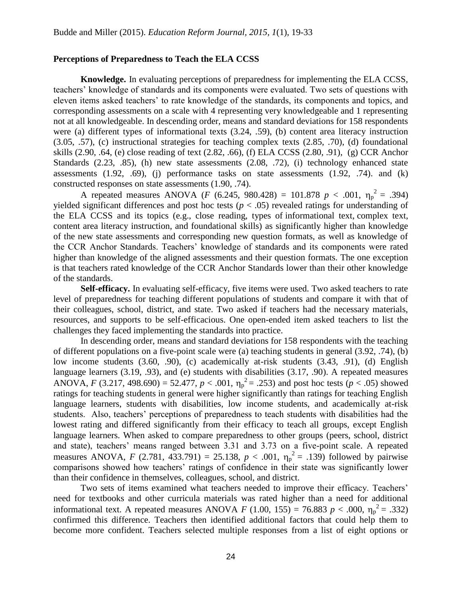# **Perceptions of Preparedness to Teach the ELA CCSS**

**Knowledge.** In evaluating perceptions of preparedness for implementing the ELA CCSS, teachers' knowledge of standards and its components were evaluated. Two sets of questions with eleven items asked teachers' to rate knowledge of the standards, its components and topics, and corresponding assessments on a scale with 4 representing very knowledgeable and 1 representing not at all knowledgeable. In descending order, means and standard deviations for 158 respondents were (a) different types of informational texts (3.24, .59), (b) content area literacy instruction (3.05, .57), (c) instructional strategies for teaching complex texts (2.85, .70), (d) foundational skills (2.90, .64, (e) close reading of text (2.82, .66), (f) ELA CCSS (2.80, .91), (g) CCR Anchor Standards (2.23, .85), (h) new state assessments (2.08, .72), (i) technology enhanced state assessments  $(1.92, .69)$ ,  $(i)$  performance tasks on state assessments  $(1.92, .74)$ . and  $(k)$ constructed responses on state assessments (1.90, .74).

A repeated measures ANOVA (*F* (6.245, 980.428) = 101.878  $p < .001$ ,  $\eta_p^2 = .394$ ) yielded significant differences and post hoc tests ( $p < .05$ ) revealed ratings for understanding of the ELA CCSS and its topics (e.g., close reading, types of informational text, complex text, content area literacy instruction, and foundational skills) as significantly higher than knowledge of the new state assessments and corresponding new question formats, as well as knowledge of the CCR Anchor Standards. Teachers' knowledge of standards and its components were rated higher than knowledge of the aligned assessments and their question formats. The one exception is that teachers rated knowledge of the CCR Anchor Standards lower than their other knowledge of the standards.

**Self-efficacy.** In evaluating self-efficacy, five items were used. Two asked teachers to rate level of preparedness for teaching different populations of students and compare it with that of their colleagues, school, district, and state. Two asked if teachers had the necessary materials, resources, and supports to be self-efficacious. One open-ended item asked teachers to list the challenges they faced implementing the standards into practice.

In descending order, means and standard deviations for 158 respondents with the teaching of different populations on a five-point scale were (a) teaching students in general (3.92, .74), (b) low income students (3.60, .90), (c) academically at-risk students (3.43, .91), (d) English language learners (3.19, .93), and (e) students with disabilities (3.17, .90). A repeated measures ANOVA, *F* (3.217, 498.690) = 52.477,  $p < .001$ ,  $\eta_p^2 = .253$ ) and post hoc tests ( $p < .05$ ) showed ratings for teaching students in general were higher significantly than ratings for teaching English language learners, students with disabilities, low income students, and academically at-risk students. Also, teachers' perceptions of preparedness to teach students with disabilities had the lowest rating and differed significantly from their efficacy to teach all groups, except English language learners. When asked to compare preparedness to other groups (peers, school, district and state), teachers' means ranged between 3.31 and 3.73 on a five-point scale. A repeated measures ANOVA, *F* (2.781, 433.791) = 25.138,  $p < .001$ ,  $\eta_p^2 = .139$ ) followed by pairwise comparisons showed how teachers' ratings of confidence in their state was significantly lower than their confidence in themselves, colleagues, school, and district.

Two sets of items examined what teachers needed to improve their efficacy. Teachers' need for textbooks and other curricula materials was rated higher than a need for additional informational text. A repeated measures ANOVA *F* (1.00, 155) = 76.883 *p* < .000,  $\eta_p^2$  = .332) confirmed this difference. Teachers then identified additional factors that could help them to become more confident. Teachers selected multiple responses from a list of eight options or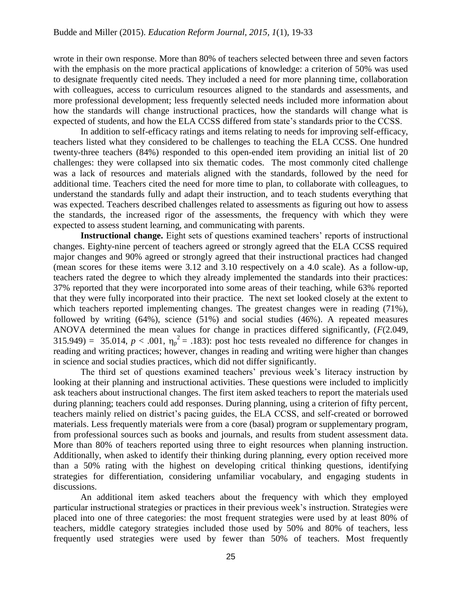wrote in their own response. More than 80% of teachers selected between three and seven factors with the emphasis on the more practical applications of knowledge: a criterion of 50% was used to designate frequently cited needs. They included a need for more planning time, collaboration with colleagues, access to curriculum resources aligned to the standards and assessments, and more professional development; less frequently selected needs included more information about how the standards will change instructional practices, how the standards will change what is expected of students, and how the ELA CCSS differed from state's standards prior to the CCSS.

In addition to self-efficacy ratings and items relating to needs for improving self-efficacy, teachers listed what they considered to be challenges to teaching the ELA CCSS. One hundred twenty-three teachers (84%) responded to this open-ended item providing an initial list of 20 challenges: they were collapsed into six thematic codes. The most commonly cited challenge was a lack of resources and materials aligned with the standards, followed by the need for additional time. Teachers cited the need for more time to plan, to collaborate with colleagues, to understand the standards fully and adapt their instruction, and to teach students everything that was expected. Teachers described challenges related to assessments as figuring out how to assess the standards, the increased rigor of the assessments, the frequency with which they were expected to assess student learning, and communicating with parents.

**Instructional change.** Eight sets of questions examined teachers' reports of instructional changes. Eighty-nine percent of teachers agreed or strongly agreed that the ELA CCSS required major changes and 90% agreed or strongly agreed that their instructional practices had changed (mean scores for these items were 3.12 and 3.10 respectively on a 4.0 scale). As a follow-up, teachers rated the degree to which they already implemented the standards into their practices: 37% reported that they were incorporated into some areas of their teaching, while 63% reported that they were fully incorporated into their practice. The next set looked closely at the extent to which teachers reported implementing changes. The greatest changes were in reading (71%), followed by writing (64%), science (51%) and social studies (46%). A repeated measures ANOVA determined the mean values for change in practices differed significantly, (*F*(2.049, 315.949) = 35.014,  $p < .001$ ,  $\eta_p^2 = .183$ ): post hoc tests revealed no difference for changes in reading and writing practices; however, changes in reading and writing were higher than changes in science and social studies practices, which did not differ significantly.

The third set of questions examined teachers' previous week's literacy instruction by looking at their planning and instructional activities. These questions were included to implicitly ask teachers about instructional changes. The first item asked teachers to report the materials used during planning; teachers could add responses. During planning, using a criterion of fifty percent, teachers mainly relied on district's pacing guides, the ELA CCSS, and self-created or borrowed materials. Less frequently materials were from a core (basal) program or supplementary program, from professional sources such as books and journals, and results from student assessment data. More than 80% of teachers reported using three to eight resources when planning instruction. Additionally, when asked to identify their thinking during planning, every option received more than a 50% rating with the highest on developing critical thinking questions, identifying strategies for differentiation, considering unfamiliar vocabulary, and engaging students in discussions.

An additional item asked teachers about the frequency with which they employed particular instructional strategies or practices in their previous week's instruction. Strategies were placed into one of three categories: the most frequent strategies were used by at least 80% of teachers, middle category strategies included those used by 50% and 80% of teachers, less frequently used strategies were used by fewer than 50% of teachers. Most frequently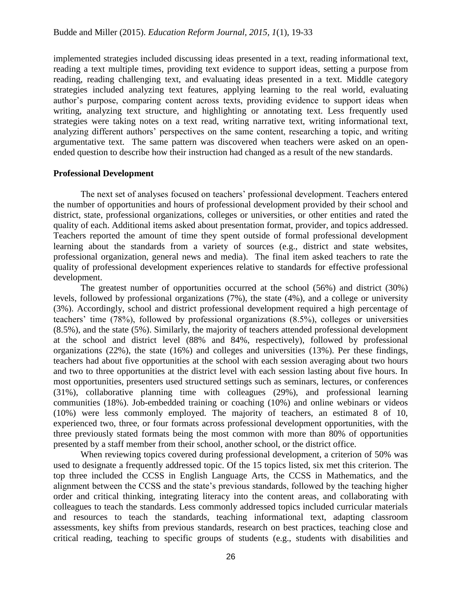implemented strategies included discussing ideas presented in a text, reading informational text, reading a text multiple times, providing text evidence to support ideas, setting a purpose from reading, reading challenging text, and evaluating ideas presented in a text. Middle category strategies included analyzing text features, applying learning to the real world, evaluating author's purpose, comparing content across texts, providing evidence to support ideas when writing, analyzing text structure, and highlighting or annotating text. Less frequently used strategies were taking notes on a text read, writing narrative text, writing informational text, analyzing different authors' perspectives on the same content, researching a topic, and writing argumentative text. The same pattern was discovered when teachers were asked on an openended question to describe how their instruction had changed as a result of the new standards.

# **Professional Development**

The next set of analyses focused on teachers' professional development. Teachers entered the number of opportunities and hours of professional development provided by their school and district, state, professional organizations, colleges or universities, or other entities and rated the quality of each. Additional items asked about presentation format, provider, and topics addressed. Teachers reported the amount of time they spent outside of formal professional development learning about the standards from a variety of sources (e.g., district and state websites, professional organization, general news and media). The final item asked teachers to rate the quality of professional development experiences relative to standards for effective professional development.

The greatest number of opportunities occurred at the school (56%) and district (30%) levels, followed by professional organizations (7%), the state (4%), and a college or university (3%). Accordingly, school and district professional development required a high percentage of teachers' time (78%), followed by professional organizations (8.5%), colleges or universities (8.5%), and the state (5%). Similarly, the majority of teachers attended professional development at the school and district level (88% and 84%, respectively), followed by professional organizations (22%), the state (16%) and colleges and universities (13%). Per these findings, teachers had about five opportunities at the school with each session averaging about two hours and two to three opportunities at the district level with each session lasting about five hours. In most opportunities, presenters used structured settings such as seminars, lectures, or conferences (31%), collaborative planning time with colleagues (29%), and professional learning communities (18%). Job-embedded training or coaching (10%) and online webinars or videos (10%) were less commonly employed. The majority of teachers, an estimated 8 of 10, experienced two, three, or four formats across professional development opportunities, with the three previously stated formats being the most common with more than 80% of opportunities presented by a staff member from their school, another school, or the district office.

When reviewing topics covered during professional development, a criterion of 50% was used to designate a frequently addressed topic. Of the 15 topics listed, six met this criterion. The top three included the CCSS in English Language Arts, the CCSS in Mathematics, and the alignment between the CCSS and the state's previous standards, followed by the teaching higher order and critical thinking, integrating literacy into the content areas, and collaborating with colleagues to teach the standards. Less commonly addressed topics included curricular materials and resources to teach the standards, teaching informational text, adapting classroom assessments, key shifts from previous standards, research on best practices, teaching close and critical reading, teaching to specific groups of students (e.g., students with disabilities and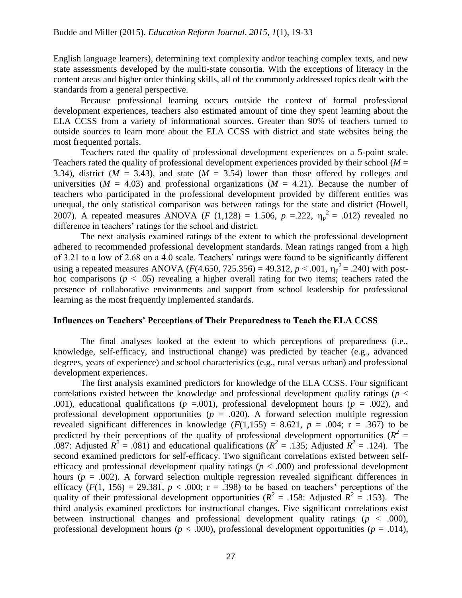English language learners), determining text complexity and/or teaching complex texts, and new state assessments developed by the multi-state consortia. With the exceptions of literacy in the content areas and higher order thinking skills, all of the commonly addressed topics dealt with the standards from a general perspective.

Because professional learning occurs outside the context of formal professional development experiences, teachers also estimated amount of time they spent learning about the ELA CCSS from a variety of informational sources. Greater than 90% of teachers turned to outside sources to learn more about the ELA CCSS with district and state websites being the most frequented portals.

Teachers rated the quality of professional development experiences on a 5-point scale. Teachers rated the quality of professional development experiences provided by their school  $(M =$ 3.34), district ( $M = 3.43$ ), and state ( $M = 3.54$ ) lower than those offered by colleges and universities ( $M = 4.03$ ) and professional organizations ( $M = 4.21$ ). Because the number of teachers who participated in the professional development provided by different entities was unequal, the only statistical comparison was between ratings for the state and district (Howell, 2007). A repeated measures ANOVA (*F* (1,128) = 1.506,  $p = 222$ ,  $\eta_p^2 = .012$ ) revealed no difference in teachers' ratings for the school and district.

The next analysis examined ratings of the extent to which the professional development adhered to recommended professional development standards. Mean ratings ranged from a high of 3.21 to a low of 2.68 on a 4.0 scale. Teachers' ratings were found to be significantly different using a repeated measures ANOVA ( $F(4.650, 725.356) = 49.312$ ,  $p < .001$ ,  $\eta_p^2 = .240$ ) with posthoc comparisons ( $p < .05$ ) revealing a higher overall rating for two items; teachers rated the presence of collaborative environments and support from school leadership for professional learning as the most frequently implemented standards.

### **Influences on Teachers' Perceptions of Their Preparedness to Teach the ELA CCSS**

The final analyses looked at the extent to which perceptions of preparedness (i.e., knowledge, self-efficacy, and instructional change) was predicted by teacher (e.g., advanced degrees, years of experience) and school characteristics (e.g., rural versus urban) and professional development experiences.

The first analysis examined predictors for knowledge of the ELA CCSS. Four significant correlations existed between the knowledge and professional development quality ratings (*p* < .001), educational qualifications ( $p = .001$ ), professional development hours ( $p = .002$ ), and professional development opportunities  $(p = .020)$ . A forward selection multiple regression revealed significant differences in knowledge  $(F(1,155) = 8.621, p = .004; r = .367)$  to be predicted by their perceptions of the quality of professional development opportunities ( $R^2$  = .087: Adjusted  $R^2 = .081$ ) and educational qualifications ( $R^2 = .135$ ; Adjusted  $R^2 = .124$ ). The second examined predictors for self-efficacy. Two significant correlations existed between selfefficacy and professional development quality ratings ( $p < .000$ ) and professional development hours ( $p = .002$ ). A forward selection multiple regression revealed significant differences in efficacy  $(F(1, 156) = 29.381, p < .000; r = .398)$  to be based on teachers' perceptions of the quality of their professional development opportunities ( $R^2 = .158$ : Adjusted  $R^2 = .153$ ). The third analysis examined predictors for instructional changes. Five significant correlations exist between instructional changes and professional development quality ratings (*p* < .000), professional development hours ( $p < .000$ ), professional development opportunities ( $p = .014$ ),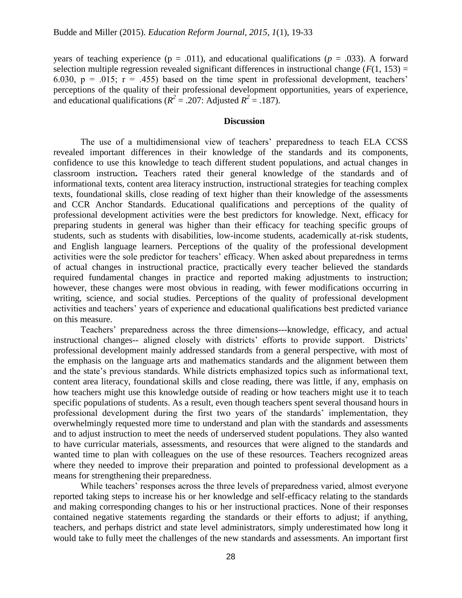years of teaching experience ( $p = .011$ ), and educational qualifications ( $p = .033$ ). A forward selection multiple regression revealed significant differences in instructional change  $(F(1, 153)) =$ 6.030,  $p = .015$ ;  $r = .455$ ) based on the time spent in professional development, teachers' perceptions of the quality of their professional development opportunities, years of experience, and educational qualifications ( $R^2 = .207$ : Adjusted  $R^2 = .187$ ).

# **Discussion**

The use of a multidimensional view of teachers' preparedness to teach ELA CCSS revealed important differences in their knowledge of the standards and its components, confidence to use this knowledge to teach different student populations, and actual changes in classroom instruction**.** Teachers rated their general knowledge of the standards and of informational texts, content area literacy instruction, instructional strategies for teaching complex texts, foundational skills, close reading of text higher than their knowledge of the assessments and CCR Anchor Standards. Educational qualifications and perceptions of the quality of professional development activities were the best predictors for knowledge. Next, efficacy for preparing students in general was higher than their efficacy for teaching specific groups of students, such as students with disabilities, low-income students, academically at-risk students, and English language learners. Perceptions of the quality of the professional development activities were the sole predictor for teachers' efficacy. When asked about preparedness in terms of actual changes in instructional practice, practically every teacher believed the standards required fundamental changes in practice and reported making adjustments to instruction; however, these changes were most obvious in reading, with fewer modifications occurring in writing, science, and social studies. Perceptions of the quality of professional development activities and teachers' years of experience and educational qualifications best predicted variance on this measure.

Teachers' preparedness across the three dimensions---knowledge, efficacy, and actual instructional changes-- aligned closely with districts' efforts to provide support. Districts' professional development mainly addressed standards from a general perspective, with most of the emphasis on the language arts and mathematics standards and the alignment between them and the state's previous standards. While districts emphasized topics such as informational text, content area literacy, foundational skills and close reading, there was little, if any, emphasis on how teachers might use this knowledge outside of reading or how teachers might use it to teach specific populations of students. As a result, even though teachers spent several thousand hours in professional development during the first two years of the standards' implementation, they overwhelmingly requested more time to understand and plan with the standards and assessments and to adjust instruction to meet the needs of underserved student populations. They also wanted to have curricular materials, assessments, and resources that were aligned to the standards and wanted time to plan with colleagues on the use of these resources. Teachers recognized areas where they needed to improve their preparation and pointed to professional development as a means for strengthening their preparedness.

While teachers' responses across the three levels of preparedness varied, almost everyone reported taking steps to increase his or her knowledge and self-efficacy relating to the standards and making corresponding changes to his or her instructional practices. None of their responses contained negative statements regarding the standards or their efforts to adjust; if anything, teachers, and perhaps district and state level administrators, simply underestimated how long it would take to fully meet the challenges of the new standards and assessments. An important first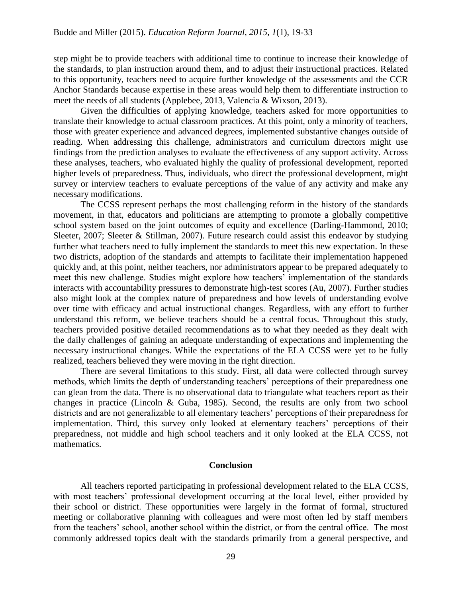step might be to provide teachers with additional time to continue to increase their knowledge of the standards, to plan instruction around them, and to adjust their instructional practices. Related to this opportunity, teachers need to acquire further knowledge of the assessments and the CCR Anchor Standards because expertise in these areas would help them to differentiate instruction to meet the needs of all students (Applebee, 2013, Valencia & Wixson, 2013).

Given the difficulties of applying knowledge, teachers asked for more opportunities to translate their knowledge to actual classroom practices. At this point, only a minority of teachers, those with greater experience and advanced degrees, implemented substantive changes outside of reading. When addressing this challenge, administrators and curriculum directors might use findings from the prediction analyses to evaluate the effectiveness of any support activity. Across these analyses, teachers, who evaluated highly the quality of professional development, reported higher levels of preparedness. Thus, individuals, who direct the professional development, might survey or interview teachers to evaluate perceptions of the value of any activity and make any necessary modifications.

The CCSS represent perhaps the most challenging reform in the history of the standards movement, in that, educators and politicians are attempting to promote a globally competitive school system based on the joint outcomes of equity and excellence (Darling-Hammond, 2010; Sleeter, 2007; Sleeter & Stillman, 2007). Future research could assist this endeavor by studying further what teachers need to fully implement the standards to meet this new expectation. In these two districts, adoption of the standards and attempts to facilitate their implementation happened quickly and, at this point, neither teachers, nor administrators appear to be prepared adequately to meet this new challenge. Studies might explore how teachers' implementation of the standards interacts with accountability pressures to demonstrate high-test scores (Au, 2007). Further studies also might look at the complex nature of preparedness and how levels of understanding evolve over time with efficacy and actual instructional changes. Regardless, with any effort to further understand this reform, we believe teachers should be a central focus. Throughout this study, teachers provided positive detailed recommendations as to what they needed as they dealt with the daily challenges of gaining an adequate understanding of expectations and implementing the necessary instructional changes. While the expectations of the ELA CCSS were yet to be fully realized, teachers believed they were moving in the right direction.

There are several limitations to this study. First, all data were collected through survey methods, which limits the depth of understanding teachers' perceptions of their preparedness one can glean from the data. There is no observational data to triangulate what teachers report as their changes in practice (Lincoln & Guba, 1985). Second, the results are only from two school districts and are not generalizable to all elementary teachers' perceptions of their preparedness for implementation. Third, this survey only looked at elementary teachers' perceptions of their preparedness, not middle and high school teachers and it only looked at the ELA CCSS, not mathematics.

### **Conclusion**

All teachers reported participating in professional development related to the ELA CCSS, with most teachers' professional development occurring at the local level, either provided by their school or district. These opportunities were largely in the format of formal, structured meeting or collaborative planning with colleagues and were most often led by staff members from the teachers' school, another school within the district, or from the central office. The most commonly addressed topics dealt with the standards primarily from a general perspective, and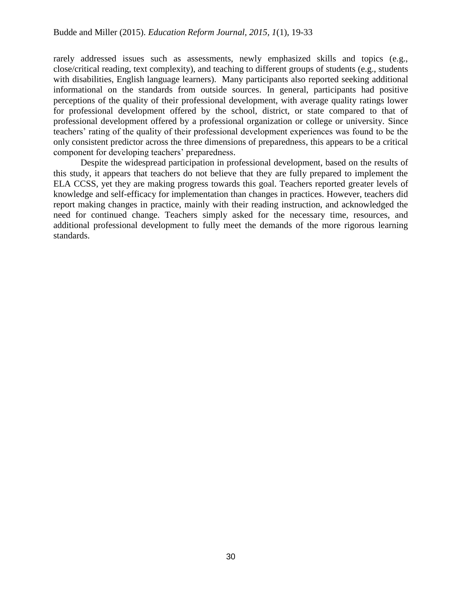rarely addressed issues such as assessments, newly emphasized skills and topics (e.g., close/critical reading, text complexity), and teaching to different groups of students (e.g., students with disabilities, English language learners). Many participants also reported seeking additional informational on the standards from outside sources. In general, participants had positive perceptions of the quality of their professional development, with average quality ratings lower for professional development offered by the school, district, or state compared to that of professional development offered by a professional organization or college or university. Since teachers' rating of the quality of their professional development experiences was found to be the only consistent predictor across the three dimensions of preparedness, this appears to be a critical component for developing teachers' preparedness.

Despite the widespread participation in professional development, based on the results of this study, it appears that teachers do not believe that they are fully prepared to implement the ELA CCSS, yet they are making progress towards this goal. Teachers reported greater levels of knowledge and self-efficacy for implementation than changes in practices. However, teachers did report making changes in practice, mainly with their reading instruction, and acknowledged the need for continued change. Teachers simply asked for the necessary time, resources, and additional professional development to fully meet the demands of the more rigorous learning standards.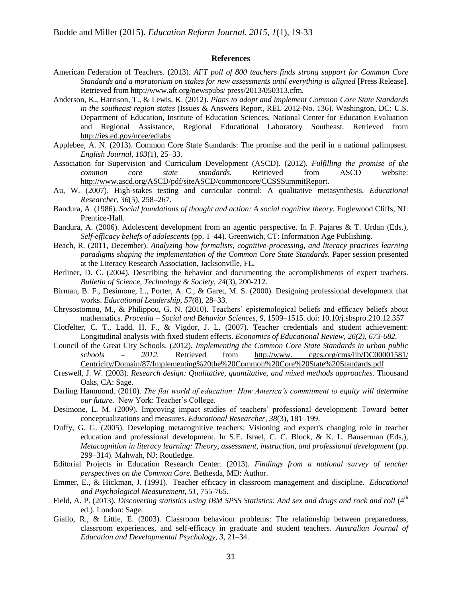#### **References**

- American Federation of Teachers. (2013). *AFT poll of 800 teachers finds strong support for Common Core Standards and a moratorium on stakes for new assessments until everything is aligned* [Press Release]. Retrieved from [http://www.aft.org/newspubs/ press/2013/050313.cfm.](http://www.aft.org/newspubs/%20press/2013/050313.cfm)
- Anderson, K., Harrison, T., & Lewis, K. (2012). *Plans to adopt and implement Common Core State Standards in the southeast region states* (Issues & Answers Report, REL 2012-No. 136). Washington, DC: U.S. Department of Education, Institute of Education Sciences, National Center for Education Evaluation and Regional Assistance, Regional Educational Laboratory Southeast. Retrieved from <http://ies.ed.gov/ncee/edlabs>
- Applebee, A. N. (2013). Common Core State Standards: The promise and the peril in a national palimpsest. *English Journal, 103*(1), 25–33.
- Association for Supervision and Curriculum Development (ASCD). (2012). *Fulfilling the promise of the common core state standards.* Retrieved from ASCD website: [http://www.ascd.org/ASCD/pdf/siteASCD/commoncore/CCSSSummitReport.](http://www.ascd.org/ASCD/pdf/siteASCD/commoncore/CCSSSummitReport)
- Au, W. (2007). High-stakes testing and curricular control: A qualitative metasynthesis. *Educational Researcher, 36*(5), 258–267.
- Bandura, A. (1986). *Social foundations of thought and action: A social cognitive theory.* Englewood Cliffs, NJ: Prentice-Hall.
- Bandura, A. (2006). Adolescent development from an agentic perspective. In F. Pajares & T. Urdan (Eds.), *Self-efficacy beliefs of adolescents* (pp. 1–44). Greenwich, CT: Information Age Publishing.
- Beach, R. (2011, December). *Analyzing how formalists, cognitive-processing, and literacy practices learning paradigms shaping the implementation of the Common Core State Standards.* Paper session presented at the Literacy Research Association, Jacksonville, FL.
- Berliner, D. C. (2004). Describing the behavior and documenting the accomplishments of expert teachers. *Bulletin of Science, Technology & Society, 24*(3), 200-212.
- Birman, B. F., Desimone, L., Porter, A. C., & Garet, M. S. (2000). Designing professional development that works. *Educational Leadership, 57*(8), 28–33.
- Chrysostomou, M., & Philippou, G. N. (2010). Teachers' epistemological beliefs and efficacy beliefs about mathematics. *Procedia – Social and Behavior Sciences, 9,* 1509–1515. doi: 10.10/j.sbspro.210.12.357
- Clotfelter, C. T., Ladd, H. F., & Vigdor, J. L. (2007). Teacher credentials and student achievement: Longitudinal analysis with fixed student effects. *Economics of Educational Review, 26(2), 673-682.*
- Council of the Great City Schools. (2012). *Implementing the Common Core State Standards in urban public schools – 2012.* Retrieved fro[m](http://www.cgcs.org/cms/lib/DC00001581/%20Centricity/Domain/87/Implementing%20%20the%20Common%20Core%20State%20Standards.pdf) [http://www. cgcs.org/cms/lib/DC00001581/](http://www.cgcs.org/cms/lib/DC00001581/%20Centricity/Domain/87/Implementing%20%20the%20Common%20Core%20State%20Standards.pdf)  Centricity/Domain/87/Implementing%20the%20Common%20Core%20State%20Standards.pdf
- Creswell, J. W. (2003). *Research design: Qualitative, quantitative, and mixed methods approaches*. Thousand Oaks, CA: Sage.
- Darling Hammond. (2010). *The flat world of education: How America's commitment to equity will determine our future.* New York: Teacher's College.
- Desimone, L. M. (2009). Improving impact studies of teachers' professional development: Toward better conceptualizations and measures. *Educational Researcher, 38*(3), 181–199.
- Duffy, G. G. (2005). Developing metacognitive teachers: Visioning and expert's changing role in teacher education and professional development. In S.E. Israel, C. C. Block, & K. L. Bauserman (Eds.), *Metacognition in literacy learning: Theory, assessment, instruction, and professional development* (pp. 299–314). Mahwah, NJ: Routledge.
- Editorial Projects in Education Research Center. (2013). *Findings from a national survey of teacher perspectives on the Common Core.* Bethesda, MD: Author.
- Emmer, E., & Hickman, J. (1991). Teacher efficacy in classroom management and discipline. *Educational and Psychological Measurement*, *51*, 755-765.
- Field, A. P. (2013). *Discovering statistics using IBM SPSS Statistics: And sex and drugs and rock and roll* (4<sup>th</sup> ed.). London: Sage.
- Giallo, R., & Little, E. (2003). Classroom behaviour problems: The relationship between preparedness, classroom experiences, and self-efficacy in graduate and student teachers. *Australian Journal of Education and Developmental Psychology, 3,* 21–34.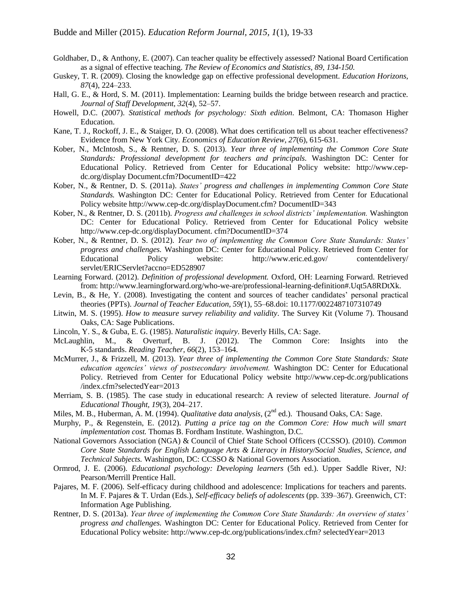- Goldhaber, D., & Anthony, E. (2007). Can teacher quality be effectively assessed? National Board Certification as a signal of effective teaching. *The Review of Economics and Statistics, 89, 134-150.*
- Guskey, T. R. (2009). Closing the knowledge gap on effective professional development. *Education Horizons, 87*(4), 224–233.
- Hall, G. E., & Hord, S. M. (2011). Implementation: Learning builds the bridge between research and practice. *Journal of Staff Development, 32*(4), 52–57.
- Howell, D.C. (2007). *Statistical methods for psychology: Sixth edition*. Belmont, CA: Thomason Higher Education.
- Kane, T. J., Rockoff, J. E., & Staiger, D. O. (2008). What does certification tell us about teacher effectiveness? Evidence from New York City. *Economics of Education Review, 27*(6), 615-631.
- Kober, N., McIntosh, S., & Rentner, D. S. (2013). *Year three of implementing the Common Core State Standards: Professional development for teachers and principals.* Washington DC: Center for Educational Policy. Retrieved from Center for Educational Policy website[:](http://www.cep-dc.org/display%20Document.cfm?DocumentID=422) [http://www.cep](http://www.cep-dc.org/display%20Document.cfm?DocumentID=422)dc.org/display Document.cfm?DocumentID=422
- Kober, N., & Rentner, D. S. (2011a). *States' progress and challenges in implementing Common Core State Standards.* Washington DC: Center for Educational Policy. Retrieved from Center for Educational Policy websit[e](http://www.cep-dc.org/displayDocument.cfm?%20DocumentID=343) [http://www.cep-dc.org/displayDocument.cfm? DocumentID=343](http://www.cep-dc.org/displayDocument.cfm?%20DocumentID=343)
- Kober, N., & Rentner, D. S. (2011b). *Progress and challenges in school districts' implementation.* Washington DC: Center for Educational Policy. Retrieved from Center for Educational Policy websit[e](http://www.cep-dc.org/displayDocument.%20cfm?DocumentID=374) [http://www.cep-dc.org/displayDocument. cfm?DocumentID=374](http://www.cep-dc.org/displayDocument.%20cfm?DocumentID=374)
- Kober, N., & Rentner, D. S. (2012). *Year two of implementing the Common Core State Standards: States' progress and challenges.* Washington DC: Center for Educational Policy. Retrieved from Center for Educational Policy website: [http://www.eric.ed.gov/ contentdelivery/](http://www.eric.ed.gov/%20contentdelivery/%20servlet/ERICServlet?accno=ED528907)  servlet/ERICServlet?accno=ED528907
- Learning Forward. (2012). *Definition of professional development.* Oxford, OH: Learning Forward. Retrieved from: [http://www.learningforward.org/who-we-are/professional-learning-definition#.Uqt5A8RDtXk.](http://www.learningforward.org/who-we-are/professional-learning-definition#.Uqt5A8RDtXk)
- Levin, B., & He, Y. (2008). Investigating the content and sources of teacher candidates' personal practical theories (PPTs). *Journal of Teacher Education, 59(*1), 55–68.doi: 10.1177/0022487107310749
- Litwin, M. S. (1995). *How to measure survey reliability and validity*. The Survey Kit (Volume 7). Thousand Oaks, CA: Sage Publications.
- Lincoln, Y. S., & Guba, E. G. (1985). *Naturalistic inquiry*. Beverly Hills, CA: Sage.
- McLaughlin, M., & Overturf, B. J. (2012). The Common Core: Insights into the K-5 standards. *Reading Teacher*, *66*(2), 153–164.
- McMurrer, J., & Frizzell, M. (2013). *Year three of implementing the Common Core State Standards: State education agencies' views of postsecondary involvement.* Washington DC: Center for Educational Policy. Retrieved from Center for Educational Policy website [http://www.cep-dc.org/publications](http://www.cep-dc.org/publications%20/index.cfm?selectedYear=2013)  /index.cfm?selectedYear=2013
- Merriam, S. B. (1985). The case study in educational research: A review of selected literature. *Journal of Educational Thought, 19*(3), 204–217.
- Miles, M. B., Huberman, A. M. (1994). *Qualitative data analysis*, (2<sup>nd</sup> ed.). Thousand Oaks, CA: Sage.
- Murphy, P., & Regenstein, E. (2012). *Putting a price tag on the Common Core: How much will smart implementation cost.* Thomas B. Fordham Institute. Washington, D.C.
- National Governors Association (NGA) & Council of Chief State School Officers (CCSSO). (2010). *Common Core State Standards for English Language Arts & Literacy in History/Social Studies, Science, and Technical Subjects.* Washington, DC: CCSSO & National Governors Association.
- Ormrod, J. E. (2006). *Educational psychology: Developing learners* (5th ed.). Upper Saddle River, NJ: Pearson/Merrill Prentice Hall.
- Pajares, M. F. (2006). Self-efficacy during childhood and adolescence: Implications for teachers and parents. In M. F. Pajares & T. Urdan (Eds.), *Self-efficacy beliefs of adolescents* (pp. 339–367). Greenwich, CT: Information Age Publishing.
- Rentner, D. S. (2013a). *Year three of implementing the Common Core State Standards: An overview of states' progress and challenges.* Washington DC: Center for Educational Policy. Retrieved from Center for Educational Policy website: [http://www.cep-dc.org/publications/index.cfm? selectedYear=2013](http://www.cep-dc.org/publications/index.cfm?selectedYear=2013)